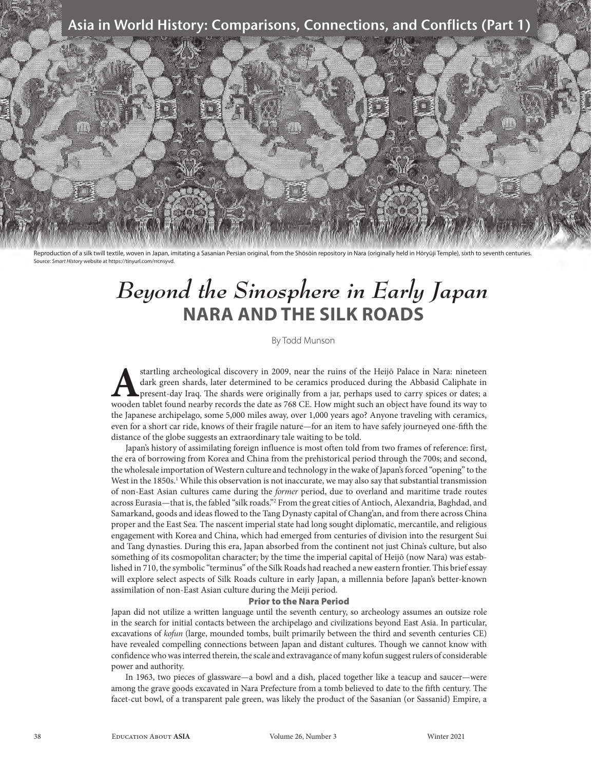### Asia in World History: Comparisons, Connections, and Conflicts (Part 1)



Reproduction of a silk twill textile, woven in Japan, imitating a Sasanian Persian original, from the Shōsōin repository in Nara (originally held in Hōryūji Temple), sixth to seventh centuries. Source: *Smart History* website at https://tinyurl.com/rrcnsyvd.

# *Beyond the Sinosphere in Early Japan*  **NARA AND THE SILK ROADS**

By Todd Munson

startling archeological discovery in 2009, near the ruins of the Heijō Palace in Nara: nineteen<br>dark green shards, later determined to be ceramics produced during the Abbasid Caliphate in<br>present-day Iraq. The shards were dark green shards, later determined to be ceramics produced during the Abbasid Caliphate in present-day Iraq. The shards were originally from a jar, perhaps used to carry spices or dates; a wooden tablet found nearby records the date as 768 CE. How might such an object have found its way to the Japanese archipelago, some 5,000 miles away, over 1,000 years ago? Anyone traveling with ceramics, even for a short car ride, knows of their fragile nature—for an item to have safely journeyed one-fifth the distance of the globe suggests an extraordinary tale waiting to be told.

Japan's history of assimilating foreign influence is most often told from two frames of reference: first, the era of borrowing from Korea and China from the prehistorical period through the 700s; and second, the wholesale importation of Western culture and technology in the wake of Japan's forced "opening" to the West in the 1850s.<sup>1</sup> While this observation is not inaccurate, we may also say that substantial transmission of non-East Asian cultures came during the *former* period, due to overland and maritime trade routes across Eurasia—that is, the fabled "silk roads."2 From the great cities of Antioch, Alexandria, Baghdad, and Samarkand, goods and ideas flowed to the Tang Dynasty capital of Chang'an, and from there across China proper and the East Sea. The nascent imperial state had long sought diplomatic, mercantile, and religious engagement with Korea and China, which had emerged from centuries of division into the resurgent Sui and Tang dynasties. During this era, Japan absorbed from the continent not just China's culture, but also something of its cosmopolitan character; by the time the imperial capital of Heijō (now Nara) was established in 710, the symbolic "terminus" of the Silk Roads had reached a new eastern frontier. This brief essay will explore select aspects of Silk Roads culture in early Japan, a millennia before Japan's better-known assimilation of non-East Asian culture during the Meiji period.

#### Prior to the Nara Period

Japan did not utilize a written language until the seventh century, so archeology assumes an outsize role in the search for initial contacts between the archipelago and civilizations beyond East Asia. In particular, excavations of *kofun* (large, mounded tombs, built primarily between the third and seventh centuries CE) have revealed compelling connections between Japan and distant cultures. Though we cannot know with confidence who was interred therein, the scale and extravagance of many kofun suggest rulers of considerable power and authority.

In 1963, two pieces of glassware—a bowl and a dish, placed together like a teacup and saucer—were among the grave goods excavated in Nara Prefecture from a tomb believed to date to the fifth century. The facet-cut bowl, of a transparent pale green, was likely the product of the Sasanian (or Sassanid) Empire, a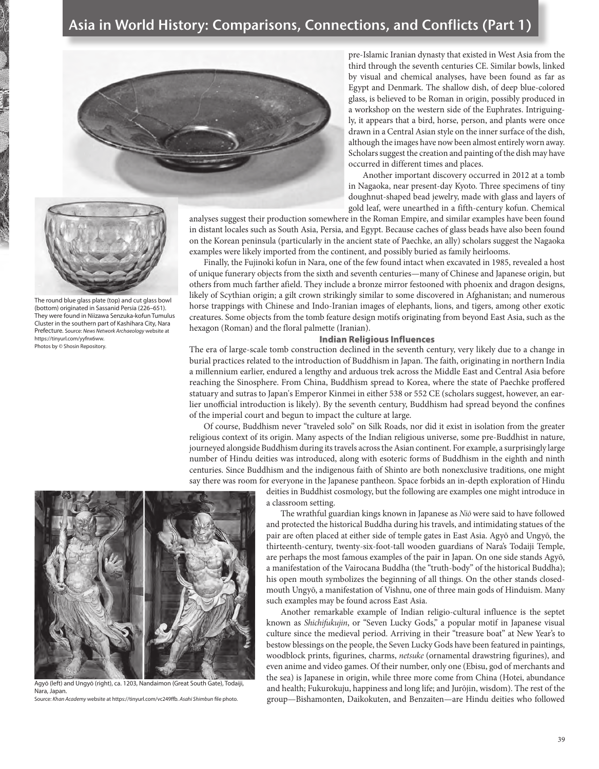

pre-Islamic Iranian dynasty that existed in West Asia from the third through the seventh centuries CE. Similar bowls, linked by visual and chemical analyses, have been found as far as Egypt and Denmark. The shallow dish, of deep blue-colored glass, is believed to be Roman in origin, possibly produced in a workshop on the western side of the Euphrates. Intriguingly, it appears that a bird, horse, person, and plants were once drawn in a Central Asian style on the inner surface of the dish, although the images have now been almost entirely worn away. Scholars suggest the creation and painting of the dish may have occurred in different times and places.

Another important discovery occurred in 2012 at a tomb in Nagaoka, near present-day Kyoto. Three specimens of tiny doughnut-shaped bead jewelry, made with glass and layers of gold leaf, were unearthed in a fifth-century kofun. Chemical

analyses suggest their production somewhere in the Roman Empire, and similar examples have been found in distant locales such as South Asia, Persia, and Egypt. Because caches of glass beads have also been found on the Korean peninsula (particularly in the ancient state of Paechke, an ally) scholars suggest the Nagaoka examples were likely imported from the continent, and possibly buried as family heirlooms.

Finally, the Fujinoki kofun in Nara, one of the few found intact when excavated in 1985, revealed a host of unique funerary objects from the sixth and seventh centuries—many of Chinese and Japanese origin, but others from much farther afield. They include a bronze mirror festooned with phoenix and dragon designs, likely of Scythian origin; a gilt crown strikingly similar to some discovered in Afghanistan; and numerous horse trappings with Chinese and Indo-Iranian images of elephants, lions, and tigers, among other exotic creatures. Some objects from the tomb feature design motifs originating from beyond East Asia, such as the hexagon (Roman) and the floral palmette (Iranian).

#### Indian Religious Influences

The era of large-scale tomb construction declined in the seventh century, very likely due to a change in burial practices related to the introduction of Buddhism in Japan. The faith, originating in northern India a millennium earlier, endured a lengthy and arduous trek across the Middle East and Central Asia before reaching the Sinosphere. From China, Buddhism spread to Korea, where the state of Paechke proffered statuary and sutras to Japan's Emperor Kinmei in either 538 or 552 CE (scholars suggest, however, an earlier unofficial introduction is likely). By the seventh century, Buddhism had spread beyond the confines of the imperial court and begun to impact the culture at large.

Of course, Buddhism never "traveled solo" on Silk Roads, nor did it exist in isolation from the greater religious context of its origin. Many aspects of the Indian religious universe, some pre-Buddhist in nature, journeyed alongside Buddhism during its travels across the Asian continent. For example, a surprisingly large number of Hindu deities was introduced, along with esoteric forms of Buddhism in the eighth and ninth centuries. Since Buddhism and the indigenous faith of Shinto are both nonexclusive traditions, one might say there was room for everyone in the Japanese pantheon. Space forbids an in-depth exploration of Hindu

> deities in Buddhist cosmology, but the following are examples one might introduce in a classroom setting.

The wrathful guardian kings known in Japanese as *Niō* were said to have followed and protected the historical Buddha during his travels, and intimidating statues of the pair are often placed at either side of temple gates in East Asia. Agyō and Ungyō, the thirteenth-century, twenty-six-foot-tall wooden guardians of Nara's Todaiji Temple, are perhaps the most famous examples of the pair in Japan. On one side stands Agyō, a manifestation of the Vairocana Buddha (the "truth-body" of the historical Buddha); his open mouth symbolizes the beginning of all things. On the other stands closedmouth Ungyō, a manifestation of Vishnu, one of three main gods of Hinduism. Many such examples may be found across East Asia.

Another remarkable example of Indian religio-cultural influence is the septet known as *Shichifukujin*, or "Seven Lucky Gods," a popular motif in Japanese visual culture since the medieval period. Arriving in their "treasure boat" at New Year's to bestow blessings on the people, the Seven Lucky Gods have been featured in paintings, woodblock prints, figurines, charms, *netsuke* (ornamental drawstring figurines), and even anime and video games. Of their number, only one (Ebisu, god of merchants and the sea) is Japanese in origin, while three more come from China (Hotei, abundance and health; Fukurokuju, happiness and long life; and Jurōjin, wisdom). The rest of the group—Bishamonten, Daikokuten, and Benzaiten—are Hindu deities who followed



The round blue glass plate (top) and cut glass bowl (bottom) originated in Sassanid Persia (226–651). They were found in Niizawa Senzuka-kofun Tumulus Cluster in the southern part of Kashihara City, Nara Prefecture. Source: *News Network Archaeology* website at https://tinyurl.com/yyfnx6ww. Photos by © Shosin Repository.

Agyō (left) and Ungyō (right), ca. 1203, Nandaimon (Great South Gate), Todaiji, Nara, Japan.

Source: *Khan Academy* website at https://tinyurl.com/vc249ffb. *Asahi Shimbun* file photo.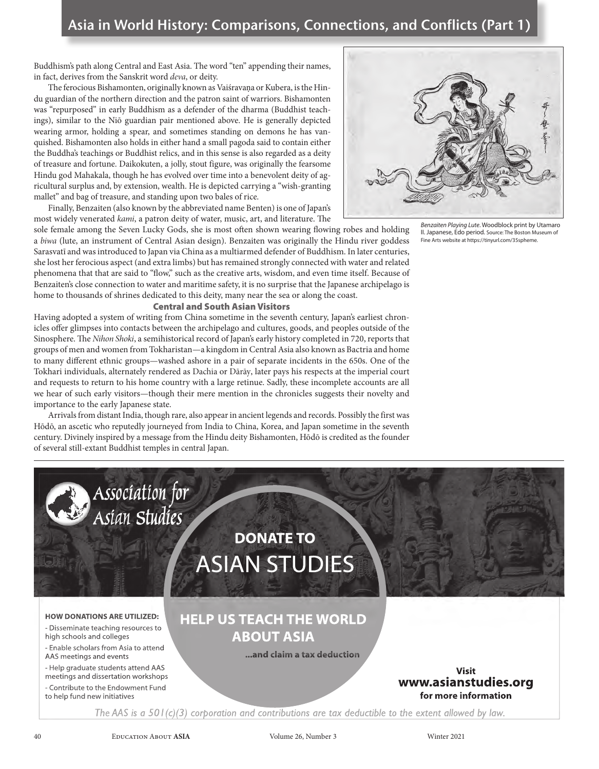Buddhism's path along Central and East Asia. The word "ten" appending their names, in fact, derives from the Sanskrit word *deva*, or deity.

The ferocious Bishamonten, originally known as Vaiśravana or Kubera, is the Hindu guardian of the northern direction and the patron saint of warriors. Bishamonten was "repurposed" in early Buddhism as a defender of the dharma (Buddhist teachings), similar to the Niō guardian pair mentioned above. He is generally depicted wearing armor, holding a spear, and sometimes standing on demons he has vanquished. Bishamonten also holds in either hand a small pagoda said to contain either the Buddha's teachings or Buddhist relics, and in this sense is also regarded as a deity of treasure and fortune. Daikokuten, a jolly, stout figure, was originally the fearsome Hindu god Mahakala, though he has evolved over time into a benevolent deity of agricultural surplus and, by extension, wealth. He is depicted carrying a "wish-granting mallet" and bag of treasure, and standing upon two bales of rice.

Finally, Benzaiten (also known by the abbreviated name Benten) is one of Japan's most widely venerated *kami*, a patron deity of water, music, art, and literature. The

sole female among the Seven Lucky Gods, she is most often shown wearing flowing robes and holding a *biwa* (lute, an instrument of Central Asian design). Benzaiten was originally the Hindu river goddess Sarasvatī and was introduced to Japan via China as a multiarmed defender of Buddhism. In later centuries, she lost her ferocious aspect (and extra limbs) but has remained strongly connected with water and related phenomena that that are said to "flow," such as the creative arts, wisdom, and even time itself. Because of Benzaiten's close connection to water and maritime safety, it is no surprise that the Japanese archipelago is home to thousands of shrines dedicated to this deity, many near the sea or along the coast.

### Central and South Asian Visitors

Having adopted a system of writing from China sometime in the seventh century, Japan's earliest chronicles offer glimpses into contacts between the archipelago and cultures, goods, and peoples outside of the Sinosphere. The *Nihon Shoki*, a semihistorical record of Japan's early history completed in 720, reports that groups of men and women from Tokharistan—a kingdom in Central Asia also known as Bactria and home to many different ethnic groups—washed ashore in a pair of separate incidents in the 650s. One of the Tokhari individuals, alternately rendered as Dachia or Dārāy, later pays his respects at the imperial court and requests to return to his home country with a large retinue. Sadly, these incomplete accounts are all we hear of such early visitors—though their mere mention in the chronicles suggests their novelty and importance to the early Japanese state.

Arrivals from distant India, though rare, also appear in ancient legends and records. Possibly the first was Hōdō, an ascetic who reputedly journeyed from India to China, Korea, and Japan sometime in the seventh century. Divinely inspired by a message from the Hindu deity Bishamonten, Hōdō is credited as the founder of several still-extant Buddhist temples in central Japan.



*Benzaiten Playing Lute*. Woodblock print by Utamaro II. Japanese, Edo period. Source: The Boston Museum of Fine Arts website at https://tinyurl.com/35spheme.

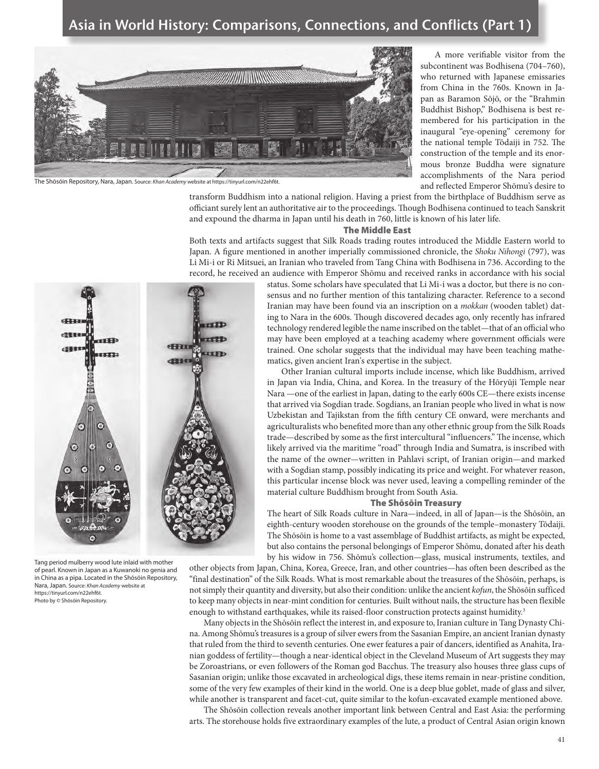### Asia in World History: Comparisons, Connections, and Conflicts (Part 1)



The Shōsōin Repository, Nara, Japan. Source: *Khan Academy* website at https://tinyurl.com/n22ehf6t.

A more verifiable visitor from the subcontinent was Bodhisena (704–760), who returned with Japanese emissaries from China in the 760s. Known in Japan as Baramon Sōjō, or the "Brahmin Buddhist Bishop," Bodhisena is best remembered for his participation in the inaugural "eye-opening" ceremony for the national temple Tōdaiji in 752. The construction of the temple and its enormous bronze Buddha were signature accomplishments of the Nara period and reflected Emperor Shōmu's desire to

transform Buddhism into a national religion. Having a priest from the birthplace of Buddhism serve as officiant surely lent an authoritative air to the proceedings. Though Bodhisena continued to teach Sanskrit and expound the dharma in Japan until his death in 760, little is known of his later life.

#### The Middle East

Both texts and artifacts suggest that Silk Roads trading routes introduced the Middle Eastern world to Japan. A figure mentioned in another imperially commissioned chronicle, the *Shoku Nihongi* (797), was Li Mi-i or Ri Mitsuei, an Iranian who traveled from Tang China with Bodhisena in 736. According to the record, he received an audience with Emperor Shōmu and received ranks in accordance with his social



Tang period mulberry wood lute inlaid with mother of pearl. Known in Japan as a Kuwanoki no genia and in China as a pipa. Located in the Shōsōin Repository, Nara, Japan. Source: *Khan Academy* website at https://tinyurl.com/n22ehf6t. Photo by © Shōsōin Repository.

status. Some scholars have speculated that Li Mi-i was a doctor, but there is no consensus and no further mention of this tantalizing character. Reference to a second Iranian may have been found via an inscription on a *mokkan* (wooden tablet) dating to Nara in the 600s. Though discovered decades ago, only recently has infrared technology rendered legible the name inscribed on the tablet—that of an official who may have been employed at a teaching academy where government officials were trained. One scholar suggests that the individual may have been teaching mathematics, given ancient Iran's expertise in the subject.

Other Iranian cultural imports include incense, which like Buddhism, arrived in Japan via India, China, and Korea. In the treasury of the Hōryūji Temple near Nara —one of the earliest in Japan, dating to the early 600s CE—there exists incense that arrived via Sogdian trade. Sogdians, an Iranian people who lived in what is now Uzbekistan and Tajikstan from the fifth century CE onward, were merchants and agriculturalists who benefited more than any other ethnic group from the Silk Roads trade—described by some as the first intercultural "influencers." The incense, which likely arrived via the maritime "road" through India and Sumatra, is inscribed with the name of the owner—written in Pahlavi script, of Iranian origin—and marked with a Sogdian stamp, possibly indicating its price and weight. For whatever reason, this particular incense block was never used, leaving a compelling reminder of the material culture Buddhism brought from South Asia.

#### The Shōsōin Treasury

The heart of Silk Roads culture in Nara—indeed, in all of Japan—is the Shōsōin, an eighth-century wooden storehouse on the grounds of the temple–monastery Tōdaiji. The Shōsōin is home to a vast assemblage of Buddhist artifacts, as might be expected, but also contains the personal belongings of Emperor Shōmu, donated after his death by his widow in 756. Shōmu's collection—glass, musical instruments, textiles, and

other objects from Japan, China, Korea, Greece, Iran, and other countries—has often been described as the "final destination" of the Silk Roads. What is most remarkable about the treasures of the Shōsōin, perhaps, is not simply their quantity and diversity, but also their condition: unlike the ancient *kofun*, the Shōsōin sufficed to keep many objects in near-mint condition for centuries. Built without nails, the structure has been flexible enough to withstand earthquakes, while its raised-floor construction protects against humidity.<sup>3</sup>

Many objects in the Shōsōin reflect the interest in, and exposure to, Iranian culture in Tang Dynasty China. Among Shōmu's treasures is a group of silver ewers from the Sasanian Empire, an ancient Iranian dynasty that ruled from the third to seventh centuries. One ewer features a pair of dancers, identified as Anahita, Iranian goddess of fertility—though a near-identical object in the Cleveland Museum of Art suggests they may be Zoroastrians, or even followers of the Roman god Bacchus. The treasury also houses three glass cups of Sasanian origin; unlike those excavated in archeological digs, these items remain in near-pristine condition, some of the very few examples of their kind in the world. One is a deep blue goblet, made of glass and silver, while another is transparent and facet-cut, quite similar to the kofun-excavated example mentioned above.

The Shōsōin collection reveals another important link between Central and East Asia: the performing arts. The storehouse holds five extraordinary examples of the lute, a product of Central Asian origin known